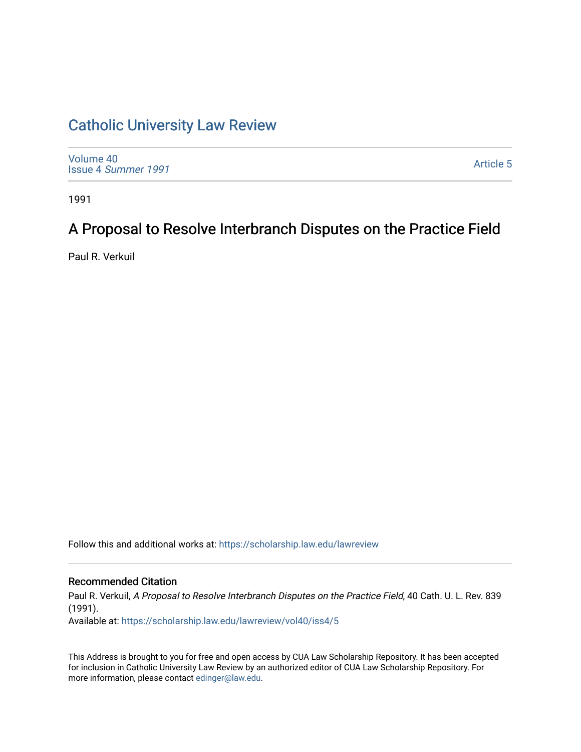# [Catholic University Law Review](https://scholarship.law.edu/lawreview)

[Volume 40](https://scholarship.law.edu/lawreview/vol40) Issue 4 [Summer 1991](https://scholarship.law.edu/lawreview/vol40/iss4) 

[Article 5](https://scholarship.law.edu/lawreview/vol40/iss4/5) 

1991

# A Proposal to Resolve Interbranch Disputes on the Practice Field

Paul R. Verkuil

Follow this and additional works at: [https://scholarship.law.edu/lawreview](https://scholarship.law.edu/lawreview?utm_source=scholarship.law.edu%2Flawreview%2Fvol40%2Fiss4%2F5&utm_medium=PDF&utm_campaign=PDFCoverPages)

## Recommended Citation

Paul R. Verkuil, A Proposal to Resolve Interbranch Disputes on the Practice Field, 40 Cath. U. L. Rev. 839 (1991).

Available at: [https://scholarship.law.edu/lawreview/vol40/iss4/5](https://scholarship.law.edu/lawreview/vol40/iss4/5?utm_source=scholarship.law.edu%2Flawreview%2Fvol40%2Fiss4%2F5&utm_medium=PDF&utm_campaign=PDFCoverPages)

This Address is brought to you for free and open access by CUA Law Scholarship Repository. It has been accepted for inclusion in Catholic University Law Review by an authorized editor of CUA Law Scholarship Repository. For more information, please contact [edinger@law.edu.](mailto:edinger@law.edu)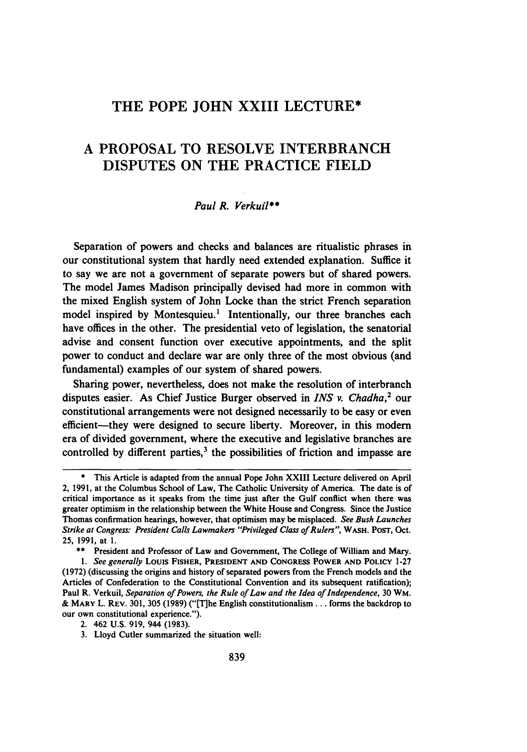# THE POPE **JOHN** XXIII **LECTURE\***

# **A** PROPOSAL TO RESOLVE INTERBRANCH **DISPUTES ON** THE PRACTICE **FIELD**

#### *Paul R. Verkuil\*\**

Separation of powers and checks and balances are ritualistic phrases in our constitutional system that hardly need extended explanation. Suffice it to say we are not a government of separate powers but of shared powers. The model James Madison principally devised had more in common with the mixed English system of John Locke than the strict French separation model inspired by Montesquieu.<sup>1</sup> Intentionally, our three branches each have offices in the other. The presidential veto of legislation, the senatorial advise and consent function over executive appointments, and the split power to conduct and declare war are only three of the most obvious (and fundamental) examples of our system of shared powers.

Sharing power, nevertheless, does not make the resolution of interbranch disputes easier. As Chief Justice Burger observed in *INS v. Chadha,2* our constitutional arrangements were not designed necessarily to be easy or even efficient-they were designed to secure liberty. Moreover, in this modern era of divided government, where the executive and legislative branches are controlled by different parties,<sup>3</sup> the possibilities of friction and impasse are

**<sup>\*</sup>** This Article is adapted from the annual Pope John XXIII Lecture delivered on April 2, **1991,** at the Columbus School of Law, The Catholic University of America. The date is of critical importance as it speaks from the time just after the Gulf conflict when there was greater optimism in the relationship between the White House and Congress. Since the Justice Thomas confirmation hearings, however, that optimism may be misplaced. See Bush Launches *Strike at Congress: President Calls Lawmakers "Privileged Class of Rulers",* **WASH.** POST, Oct. **25, 1991,** at **1.**

**<sup>\*\*</sup>** President and Professor of Law and Government, The College of William and Mary.

*<sup>1.</sup> See generally* Louis **FISHER, PRESIDENT AND CONGRESS POWER AND POLICY 1-27 (1972)** (discussing the origins and history of separated powers from the French models and the Articles of Confederation to the Constitutional Convention and its subsequent ratification); Paul R. Verkuil, *Separation of Powers, the Rule of Law and the Idea of Independence,* **30** WM. **& MARY** L. **REV. 301, 305 (1989)** ("[T]he English constitutionalism... forms the backdrop to our own constitutional experience.").

<sup>2. 462</sup> **U.S. 919,** 944 **(1983).**

**<sup>3.</sup>** Lloyd Cutler summarized the situation well: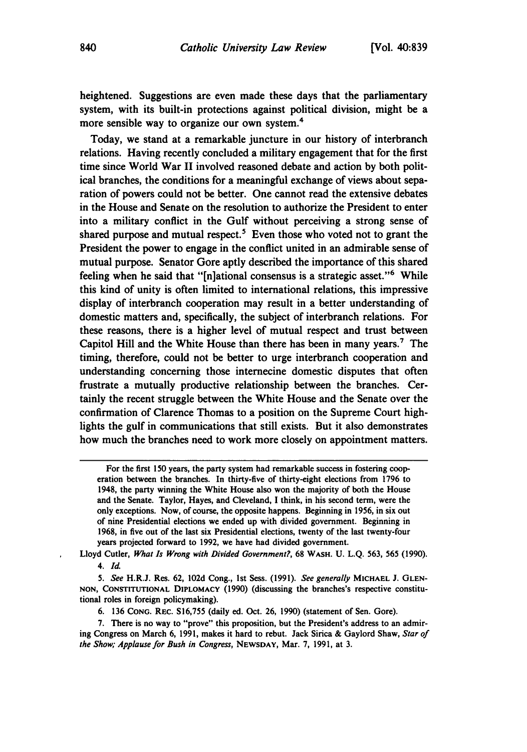heightened. Suggestions are even made these days that the parliamentary system, with its built-in protections against political division, might be a more sensible way to organize our own system.4

Today, we stand at a remarkable juncture in our history of interbranch relations. Having recently concluded a military engagement that for the first time since World War II involved reasoned debate and action **by** both political branches, the conditions for a meaningful exchange of views about separation of powers could not be better. One cannot read the extensive debates in the House and Senate on the resolution to authorize the President to enter into a military conflict in the Gulf without perceiving a strong sense of shared purpose and mutual respect.<sup>5</sup> Even those who voted not to grant the President the power to engage in the conflict united in an admirable sense of mutual purpose. Senator Gore aptly described the importance of this shared feeling when he said that "[n]ational consensus is a strategic asset."<sup>6</sup> While this kind of unity is often limited to international relations, this impressive display of interbranch cooperation may result in a better understanding of domestic matters and, specifically, the subject of interbranch relations. For these reasons, there is a higher level of mutual respect and trust between Capitol Hill and the White House than there has been in many years.<sup>7</sup> The timing, therefore, could not be better to urge interbranch cooperation and understanding concerning those internecine domestic disputes that often frustrate a mutually productive relationship between the branches. Certainly the recent struggle between the White House and the Senate over the confirmation of Clarence Thomas to a position on the Supreme Court highlights the gulf in communications that still exists. But it also demonstrates how much the branches need to work more closely on appointment matters.

Lloyd Cutler, *What Is Wrong with Divided Government?*, 68 WASH. U. L.Q. 563, 565 (1990). *4. Id.*

*5. See* H.R.J. Res. **62, 102d** Cong., **1st** Sess. **(1991).** *See generally* **MICHAEL** J. **GLEN-NON, CONSTITUTIONAL DIPLOMACY (1990)** (discussing the branches's respective constitutional roles in foreign policymaking).

**6. 136 CONG. REC. S16,755** (daily ed. Oct. **26, 1990)** (statement of Sen. Gore).

**7.** There is no way to "prove" this proposition, but the President's address to an admiring Congress on March **6, 1991,** makes it hard to rebut. Jack Sirica **&** Gaylord Shaw, *Star of the Show; Applause for Bush in Congress,* **NEWSDAY,** Mar. **7, 1991,** at **3.**

For the first **<sup>1</sup> <sup>5</sup> <sup>0</sup>**years, the party system had remarkable success in fostering **coop**eration between the branches. In thirty-five of thirty-eight elections from **1796** to 1948, the party winning the White House also won the majority of both the House and the Senate. Taylor, Hayes, and Cleveland, **I** think, in his second term, were the only exceptions. Now, of course, the opposite happens. Beginning in **1956,** in six out of nine Presidential elections we ended up with divided government. Beginning in **1968,** in five out of the last six Presidential elections, twenty of the last twenty-four years projected forward to **1992,** we have had divided government.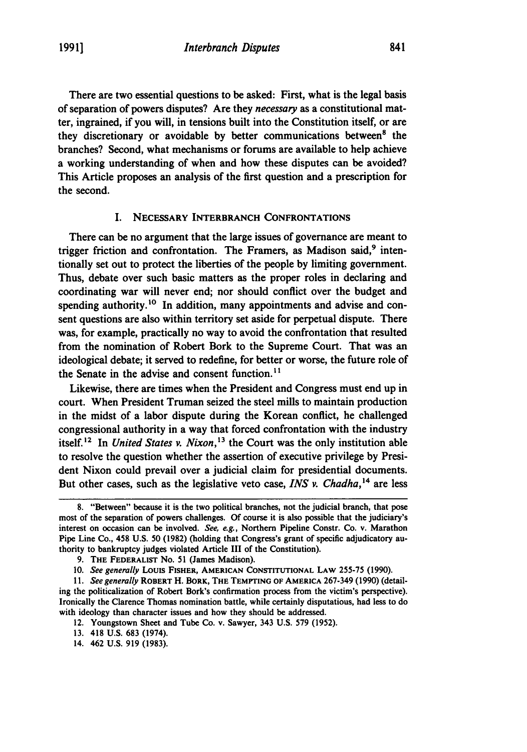There are two essential questions to be asked: First, what is the legal basis of separation of powers disputes? Are they *necessary* as a constitutional matter, ingrained, if you will, in tensions built into the Constitution itself, or are they discretionary or avoidable **by** better communications between' the branches? Second, what mechanisms or forums are available to help achieve a working understanding of when and how these disputes can be avoided? This Article proposes an analysis of the first question and a prescription for the second.

#### I. **NECESSARY** INTERBRANCH **CONFRONTATIONS**

There can be no argument that the large issues of governance are meant to trigger friction and confrontation. The Framers, as Madison said,<sup>9</sup> intentionally set out to protect the liberties of the people **by** limiting government. Thus, debate over such basic matters as the proper roles in declaring and coordinating war will never end; nor should conflict over the budget and spending authority.<sup>10</sup> In addition, many appointments and advise and consent questions are also within territory set aside for perpetual dispute. There was, for example, practically no way to avoid the confrontation that resulted from the nomination of Robert Bork to the Supreme Court. That was an ideological debate; it served to redefine, for better or worse, the future role of the Senate in the advise and consent function.'<sup>1</sup>

Likewise, there are times when the President and Congress must end up in court. When President Truman seized the steel mills to maintain production in the midst of a labor dispute during the Korean conflict, he challenged congressional authority in a way that forced confrontation with the industry itself.<sup>12</sup> In *United States v. Nixon*,<sup>13</sup> the Court was the only institution able to resolve the question whether the assertion of executive privilege **by** President Nixon could prevail over a judicial claim for presidential documents. But other cases, such as the legislative veto case, *INS v. Chadha,"4* are less

**<sup>8.</sup>** "Between" because it is the two political branches, not the judicial branch, that pose most of the separation of powers challenges. **Of** course it is also possible that the judiciary's interest on occasion can be involved. *See, e.g.,* Northern Pipeline Constr. **Co.** v. Marathon Pipe Line Co., 458 **U.S. 50 (1982)** (holding that Congress's grant of specific adjudicatory authority to bankruptcy judges violated Article **III** of the Constitution).

**<sup>9.</sup>** THE FEDERALIST No. **51** (James Madison).

**<sup>10.</sup>** *See generally* Louis FISHER, **AMERICAN CONSTITUTIONAL** LAW **255-75 (1990).**

*<sup>11.</sup> See generally* ROBERT H. BORK, THE **TEMPTING** OF AMERICA **267-349 (1990)** (detailing the politicalization of Robert Bork's confirmation process from the victim's perspective). Ironically the Clarence Thomas nomination battle, while certainly disputatious, had less to do with ideology than character issues and how they should be addressed.

<sup>12.</sup> Youngstown Sheet and Tube Co. v. Sawyer, 343 **U.S. 579 (1952).**

**<sup>13.</sup>** 418 **U.S. 683** (1974).

<sup>14. 462</sup> **U.S. 919 (1983).**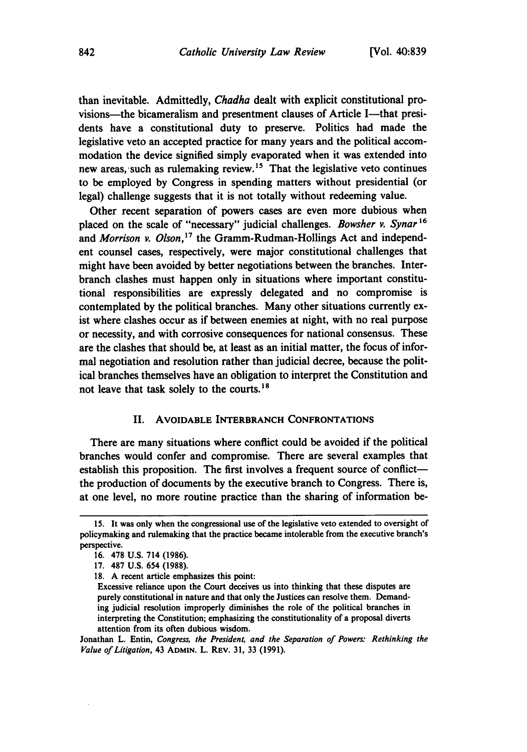than inevitable. Admittedly, *Chadha* dealt with explicit constitutional provisions—the bicameralism and presentment clauses of Article I—that presidents have a constitutional duty to preserve. Politics had made the legislative veto an accepted practice for many years and the political accommodation the device signified simply evaporated when it was extended into new areas, such as rulemaking review.<sup>15</sup> That the legislative veto continues to be employed **by** Congress in spending matters without presidential (or legal) challenge suggests that it is not totally without redeeming value.

Other recent separation of powers cases are even more dubious when placed on the scale of "necessary" judicial challenges. *Bowsher v. Synar*<sup>16</sup> and *Morrison v. Olson,17* the Gramm-Rudman-Hollings Act and independent counsel cases, respectively, were major constitutional challenges that might have been avoided **by** better negotiations between the branches. Interbranch clashes must happen only in situations where important constitutional responsibilities are expressly delegated and no compromise is contemplated **by** the political branches. Many other situations currently exist where clashes occur as if between enemies at night, with no real purpose or necessity, and with corrosive consequences for national consensus. These are the clashes that should be, at least as an initial matter, the focus of informal negotiation and resolution rather than judicial decree, because the political branches themselves have an obligation to interpret the Constitution and not leave that task solely to the courts.<sup>18</sup>

#### H. AVOIDABLE INTERBRANCH **CONFRONTATIONS**

There are many situations where conflict could be avoided if the political branches would confer and compromise. There are several examples that establish this proposition. The first involves a frequent source of conflictthe production of documents **by** the executive branch to Congress. There is, at one level, no more routine practice than the sharing of information be-

Jonathan L. Entin, Congress, the President, and the *Separation of Powers: Rethinking the Value of Litigation,* 43 **ADMIN.** L. **REV. 31,** 33 **(1991).**

**<sup>15.</sup>** It was only when the congressional use of the legislative veto extended to oversight of policymaking and rulemaking that the practice became intolerable from the executive branch's perspective.

**<sup>16. 478</sup> U.S.** 714 **(1986).**

**<sup>17. 487</sup> U.S.** 654 **(1988).**

**<sup>18.</sup> A** recent article emphasizes this point:

Excessive reliance upon the Court deceives us into thinking that these disputes are purely constitutional in nature and that only the Justices can resolve them. Demanding judicial resolution improperly diminishes the role of the political branches in interpreting the Constitution; emphasizing the constitutionality of a proposal diverts attention from its often dubious wisdom.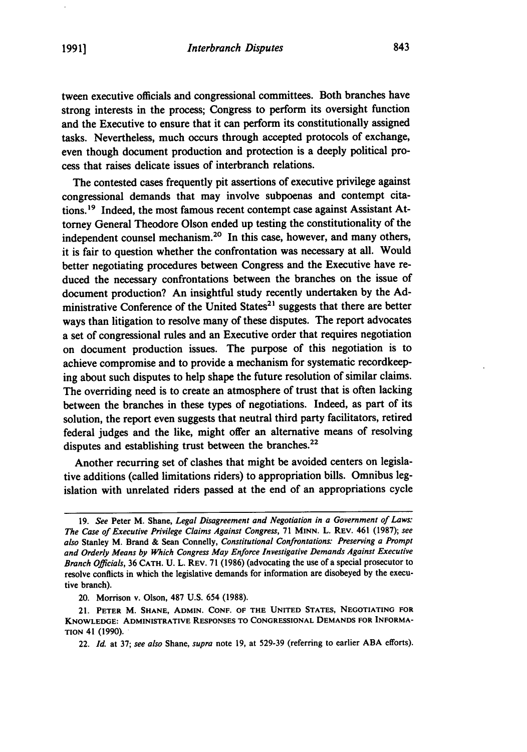tween executive officials and congressional committees. Both branches have strong interests in the process; Congress to perform its oversight function and the Executive to ensure that it can perform its constitutionally assigned tasks. Nevertheless, much occurs through accepted protocols of exchange, even though document production and protection is a deeply political process that raises delicate issues of interbranch relations.

The contested cases frequently pit assertions of executive privilege against congressional demands that may involve subpoenas and contempt citations.<sup>19</sup> Indeed, the most famous recent contempt case against Assistant Attorney General Theodore Olson ended up testing the constitutionality of the independent counsel mechanism.<sup>20</sup> In this case, however, and many others, it is fair to question whether the confrontation was necessary at all. Would better negotiating procedures between Congress and the Executive have reduced the necessary confrontations between the branches on the issue of document production? An insightful study recently undertaken **by** the **Ad**ministrative Conference of the United States $21$  suggests that there are better ways than litigation to resolve many of these disputes. The report advocates a set of congressional rules and an Executive order that requires negotiation on document production issues. The purpose of this negotiation is to achieve compromise and to provide a mechanism for systematic recordkeeping about such disputes to help shape the future resolution of similar claims. The overriding need is to create an atmosphere of trust that is often lacking between the branches in these types of negotiations. Indeed, as part of its solution, the report even suggests that neutral third party facilitators, retired federal judges and the like, might offer an alternative means of resolving disputes and establishing trust between the branches.<sup>22</sup>

Another recurring set of clashes that might be avoided centers on legislative additions (called limitations riders) to appropriation bills. Omnibus legislation with unrelated riders passed at the end of an appropriations cycle

20. Morrison v. Olson, **487 U.S.** 654 **(1988).**

**<sup>19.</sup>** See Peter M. Shane, *Legal Disagreement and Negotiation in a Government of Laws:* The Case *of Executive Privilege Claims Against Congress,* **71** MINN. L. REV. 461 **(1987);** *see also* Stanley M. Brand **&** Sean Connelly, *Constitutional Confrontations: Preserving a Prompt and Orderly Means by Which Congress May Enforce Investigative Demands Against Executive Branch Officials,* **36 CATH. U.** L. REV. **71 (1986)** (advocating the use of a special prosecutor to resolve conflicts in which the legislative demands for information are disobeyed **by** the executive branch).

<sup>21.</sup> PETER M. **SHANE, ADMIN. CONF. OF** THE **UNITED STATES, NEGOTIATING** FOR **KNOWLEDGE:** ADMINISTRATIVE **RESPONSES** TO **CONGRESSIONAL DEMANDS** FOR INFORMA-**TION** 41 **(1990).**

<sup>22.</sup> *Id.* at **37;** *see also* Shane, *supra* note **19,** at **529-39** (referring to earlier **ABA** efforts).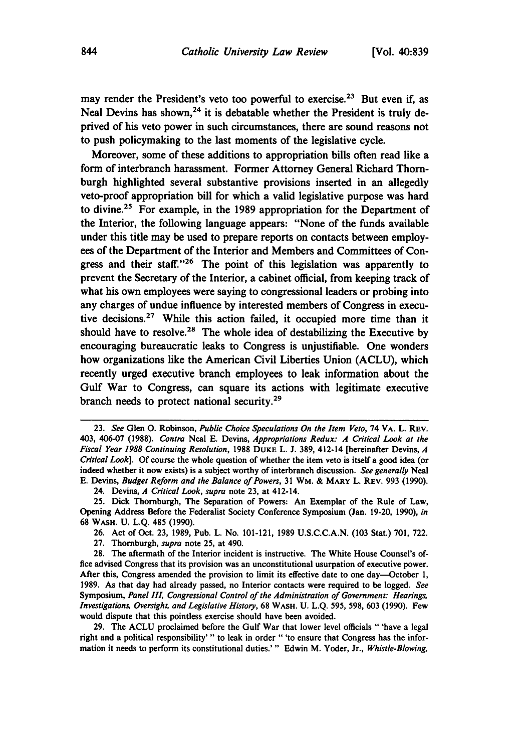may render the President's veto too powerful to exercise.<sup>23</sup> But even if, as Neal Devins has shown,<sup>24</sup> it is debatable whether the President is truly deprived of his veto power in such circumstances, there are sound reasons not to push policymaking to the last moments of the legislative cycle.

Moreover, some of these additions to appropriation bills often read like a form of interbranch harassment. Former Attorney General Richard Thornburgh highlighted several substantive provisions inserted in an allegedly veto-proof appropriation bill for which a valid legislative purpose was hard to divine.<sup>25</sup> For example, in the 1989 appropriation for the Department of the Interior, the following language appears: "None of the funds available under this title may be used to prepare reports on contacts between employees of the Department of the Interior and Members and Committees of Congress and their staff."<sup>26</sup> The point of this legislation was apparently to prevent the Secretary of the Interior, a cabinet official, from keeping track of what his own employees were saying to congressional leaders or probing into any charges of undue influence **by** interested members of Congress in executive decisions.<sup>27</sup> While this action failed, it occupied more time than it should have to resolve.<sup>28</sup> The whole idea of destabilizing the Executive by encouraging bureaucratic leaks to Congress is unjustifiable. One wonders how organizations like the American Civil Liberties Union **(ACLU),** which recently urged executive branch employees to leak information about the Gulf War to Congress, can square its actions with legitimate executive branch needs to protect national security.<sup>29</sup>

**<sup>23.</sup>** See Glen **0.** Robinson, *Public Choice Speculations On the Item Veto,* **74 VA. L. REV.** 403, 406-07 **(1988).** Contra Neal **E.** Devins, *Appropriations Redux: A Critical Look at the Fiscal Year* **1988** Continuing Resolution, **1988 DUKE L. J. 389,** 412-14 [hereinafter Devins, *A* Critical Look]. **Of** course the whole question of whether the item veto is itself a good idea (or indeed whether it now exists) is a subject worthy of interbranch discussion. See generally Neal **E.** Devins, Budget *Reform* and the *Balance of Powers,* **31** WM. **& MARY** L. **REV. 993 (1990).**

<sup>24.</sup> Devins, *A* Critical *Look, supra* note **23,** at 412-14.

**<sup>25.</sup>** Dick Thornburgh, The Separation of Powers: An Exemplar of the Rule of Law, Opening Address Before the Federalist Society Conference Symposium (Jan. **19-20, 1990),** *in* **68 WASH. U. L.Q.** 485 **(1990).**

**<sup>26.</sup>** Act of Oct. **23, 1989,** Pub. L. No. 101-121, **1989 U.S.C.C.A.N. (103** Stat.) **701, 722.**

**<sup>27.</sup>** Thornburgh, *supra* note **25,** at 490.

**<sup>28.</sup>** The aftermath of the Interior incident is instructive. The White House Counsel's office advised Congress that its provision was an unconstitutional usurpation of executive power. After this, Congress amended the provision to limit its effective date to one day-October **1, 1989.** As that day had already passed, no Interior contacts were required to be logged. *See* Symposium, *Panel III, Congressional Control of the Administration of Government: Hearings, Investigations, Oversight, and Legislative History,* **68 WASH. U. L.Q. 595, 598, 603 (1990).** Few would dispute that this pointless exercise should have been avoided.

**<sup>29.</sup>** The **ACLU** proclaimed before the Gulf War that lower level officials "'have a legal right and a political responsibility'" to leak in order "'to ensure that Congress has the information it needs to perform its constitutional duties.'" Edwin M. Yoder, Jr., *Whistle-Blowing,*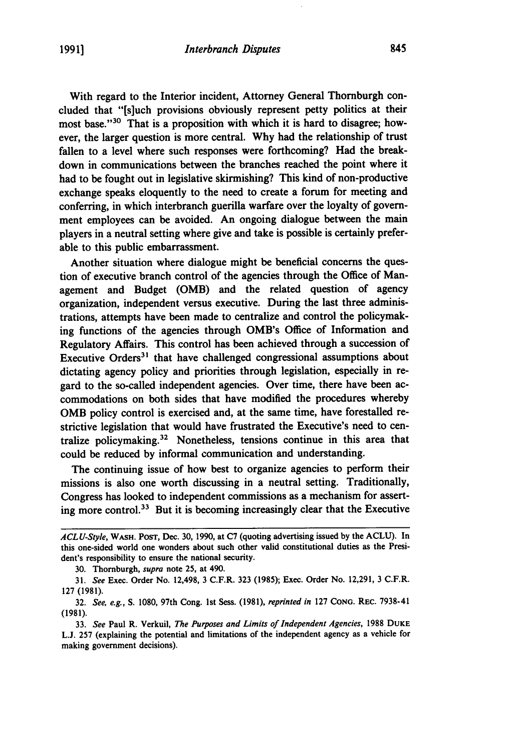With regard to the Interior incident, Attorney General Thornburgh concluded that **"[s]uch** provisions obviously represent petty politics at their most base."<sup>30</sup> That is a proposition with which it is hard to disagree; however, the larger question is more central. **Why** had the relationship of trust fallen to a level where such responses were forthcoming? Had the breakdown in communications between the branches reached the point where it had to be fought out in legislative skirmishing? This kind of non-productive exchange speaks eloquently to the need to create a forum for meeting and conferring, in which interbranch guerilla warfare over the loyalty of government employees can be avoided. An ongoing dialogue between the main players in a neutral setting where give and take is possible is certainly preferable to this public embarrassment.

Another situation where dialogue might be beneficial concerns the question of executive branch control of the agencies through the Office of Management and Budget (OMB) and the related question of agency organization, independent versus executive. During the last three administrations, attempts have been made to centralize and control the policymaking functions of the agencies through OMB's Office of Information and Regulatory Affairs. This control has been achieved through a succession of Executive Orders<sup>31</sup> that have challenged congressional assumptions about dictating agency policy and priorities through legislation, especially in regard to the so-called independent agencies. Over time, there have been accommodations on both sides that have modified the procedures whereby **OMB** policy control is exercised and, at the same time, have forestalled restrictive legislation that would have frustrated the Executive's need to centralize policymaking.32 Nonetheless, tensions continue in this area that could be reduced **by** informal communication and understanding.

The continuing issue of how best to organize agencies to perform their missions is also one worth discussing in a neutral setting. Traditionally, Congress has looked to independent commissions as a mechanism for asserting more control.33 But it is becoming increasingly clear that the Executive

*ACLU-Style,* **WASH.** PosT, Dec. **30, 1990,** at **C7** (quoting advertising issued **by** the **ACLU).** In this one-sided world one wonders about such other valid constitutional duties as the President's responsibility to ensure the national security.

**<sup>30.</sup>** Thornburgh, *supra* note **25,** at 490.

**<sup>31.</sup>** *See* Exec. Order No. 12,498, **3** C.F.R. **323 (1985);** Exec. Order No. **12,291, 3** C.F.R. 127 (1981).

<sup>32.</sup> *See, e.g.,* S. 1080, 97th Cong. 1st Sess. (1981), *reprinted in* 127 **CONG.** REC. 7938-41 **(1981).**

**<sup>33.</sup>** *See* Paul R. Verkuil, *The Purposes and Limits of Independent Agencies,* **1988 DUKE L.J. 257** (explaining the potential and limitations of the independent agency as a vehicle for making government decisions).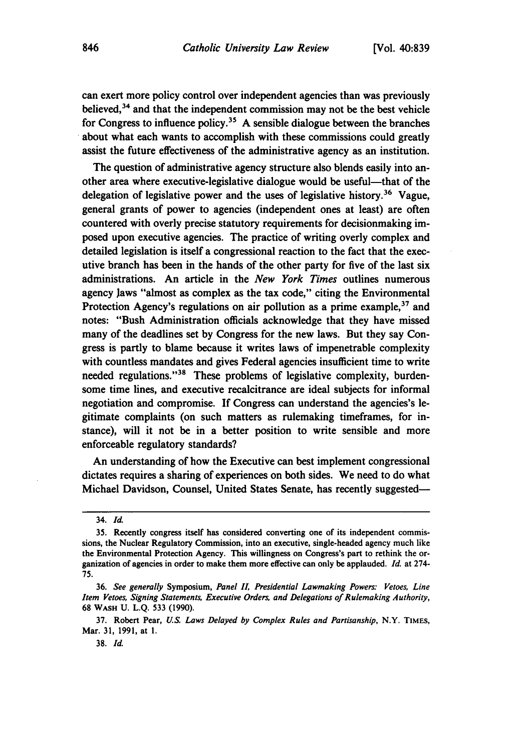can exert more policy control over independent agencies than was previously believed, 34 and that the independent commission may not be the best vehicle for Congress to influence **policy.<sup>3</sup> 5 A** sensible dialogue between the branches about what each wants to accomplish with these commissions could greatly assist the future effectiveness of the administrative agency as an institution.

The question of administrative agency structure also blends easily into another area where executive-legislative dialogue would be useful—that of the delegation of legislative power and the uses of legislative history.<sup>36</sup> Vague, general grants of power to agencies (independent ones at least) are often countered with overly precise statutory requirements for decisionmaking imposed upon executive agencies. The practice of writing overly complex and detailed legislation is itself a congressional reaction to the fact that the executive branch has been in the hands of the other party for five of the last six administrations. An article in the *New York Times* outlines numerous agency Jaws "almost as complex as the tax code," citing the Environmental Protection Agency's regulations on air pollution as a prime example,  $37$  and notes: "Bush Administration officials acknowledge that they have missed many of the deadlines set **by** Congress for the new laws. But they say Congress is partly to blame because it writes laws of impenetrable complexity with countless mandates and gives Federal agencies insufficient time to write needed regulations."<sup>38</sup> These problems of legislative complexity, burdensome time lines, and executive recalcitrance are ideal subjects for informal negotiation and compromise. If Congress can understand the agencies's legitimate complaints (on such matters as rulemaking timeframes, for instance), will it not be in a better position to write sensible and more enforceable regulatory standards?

An understanding of how the Executive can best implement congressional dictates requires a sharing of experiences on both sides. We need to do what Michael Davidson, Counsel, United States Senate, has recently suggested-

<sup>34.</sup> *Id.*

**<sup>35.</sup>** Recently congress itself has considered converting one of its independent commissions, the Nuclear Regulatory Commission, into an executive, single-headed agency much like the Environmental Protection Agency. This willingness on Congress's part to rethink the organization of agencies in order to make them more effective can only be applauded. *Id.* at 274- **75.**

**<sup>36.</sup>** *See generally* Symposium, *Panel II, Presidential Lawmaking Powers: Vetoes, Line Item Vetoes, Signing Statements, Executive Orders, and Delegations of Rulemaking Authority,* **68 WASH U. L.Q. 533 (1990).**

**<sup>37.</sup>** Robert Pear, *U.S. Laws Delayed by Complex Rules and Partisanship,* N.Y. **TIMES,** Mar. **31, 1991,** at **1.**

**<sup>38.</sup>** *Id.*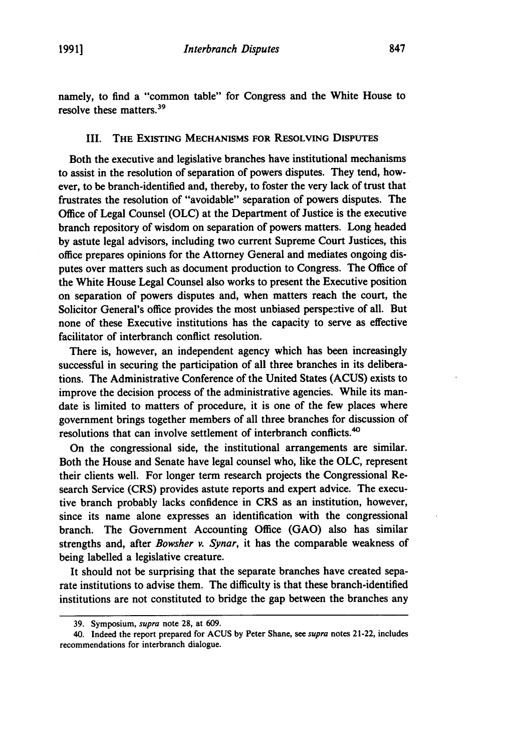namely, to find a "common table" for Congress and the White House to resolve these matters.39

#### III. THE EXISTING MECHANISMS FOR RESOLVING DISPUTES

Both the executive and legislative branches have institutional mechanisms to assist in the resolution of separation of powers disputes. They tend, however, to be branch-identified and, thereby, to foster the very lack of trust that frustrates the resolution of "avoidable" separation of powers disputes. The Office of Legal Counsel **(OLC)** at the Department of Justice is the executive branch repository of wisdom on separation of powers matters. Long headed **by** astute legal advisors, including two current Supreme Court Justices, this office prepares opinions for the Attorney General and mediates ongoing disputes over matters such as document production to Congress. The Office of the White House Legal Counsel also works to present the Executive position on separation of powers disputes and, when matters reach the court, the Solicitor General's office provides the most unbiased perspective of all. But none of these Executive institutions has the capacity to serve as effective facilitator of interbranch conflict resolution.

There is, however, an independent agency which has been increasingly successful in securing the participation of all three branches in its deliberations. The Administrative Conference of the United States **(ACUS)** exists to improve the decision process of the administrative agencies. While its mandate is limited to matters of procedure, it is one of the few places where government brings together members of all three branches for discussion of resolutions that can involve settlement of interbranch conflicts.<sup>40</sup>

On the congressional side, the institutional arrangements are similar. Both the House and Senate have legal counsel who, like the **OLC,** represent their clients well. For longer term research projects the Congressional Research Service (CRS) provides astute reports and expert advice. The executive branch probably lacks confidence in CRS as an institution, however, since its name alone expresses an identification with the congressional branch. The Government Accounting Office **(GAO)** also has similar strengths and, after Bowsher *v. Synar,* it has the comparable weakness of being labelled a legislative creature.

It should not be surprising that the separate branches have created separate institutions to advise them. The difficulty is that these branch-identified institutions are not constituted to bridge the gap between the branches any

**<sup>39.</sup>** Symposium, *supra* note **28,** at **609.**

<sup>40.</sup> Indeed the report prepared for **ACUS by** Peter Shane, see *supra* notes 21-22, includes recommendations for interbranch dialogue.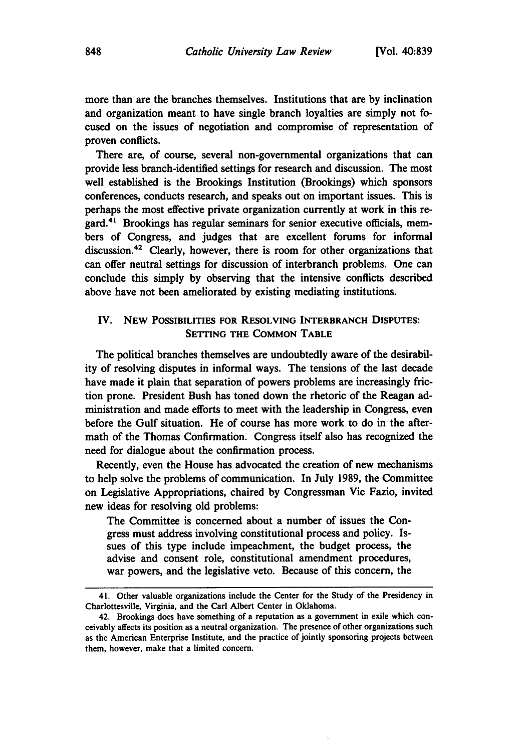more than are the branches themselves. Institutions that are **by** inclination and organization meant to have single branch loyalties are simply not focused on the issues of negotiation and compromise of representation of proven conflicts.

There are, of course, several non-governmental organizations that can provide less branch-identified settings for research and discussion. The most well established is the Brookings Institution (Brookings) which sponsors conferences, conducts research, and speaks out on important issues. This is perhaps the most effective private organization currently at work in this regard. 4' Brookings has regular seminars for senior executive officials, members of Congress, and judges that are excellent forums for informal discussion.42 Clearly, however, there is room for other organizations that can offer neutral settings for discussion of interbranch problems. One can conclude this simply **by** observing that the intensive conflicts described above have not been ameliorated **by** existing mediating institutions.

## IV. **NEW** POSSIBILITIES FOR **RESOLVING** INTERBRANCH DISPUTES: SETTING THE **COMMON** TABLE

The political branches themselves are undoubtedly aware of the desirability of resolving disputes in informal ways. The tensions of the last decade have made it plain that separation of powers problems are increasingly friction prone. President Bush has toned down the rhetoric of the Reagan administration and made efforts to meet with the leadership in Congress, even before the Gulf situation. He of course has more work to do in the aftermath of the Thomas Confirmation. Congress itself also has recognized the need for dialogue about the confirmation process.

Recently, even the House has advocated the creation of new mechanisms to help solve the problems of communication. In July **1989,** the Committee on Legislative Appropriations, chaired **by** Congressman Vic Fazio, invited new ideas for resolving old problems:

The Committee is concerned about a number of issues the Congress must address involving constitutional process and policy. Issues of this type include impeachment, the budget process, the advise and consent role, constitutional amendment procedures, war powers, and the legislative veto. Because of this concern, the

<sup>41.</sup> Other valuable organizations include the Center for the Study of the Presidency in Charlottesville, Virginia, and the Carl Albert Center in Oklahoma.

<sup>42.</sup> Brookings does have something of a reputation as a government in exile which conceivably affects its position as a neutral organization. The presence of other organizations such as the American Enterprise Institute, and the practice of jointly sponsoring projects between them, however, make that a limited concern.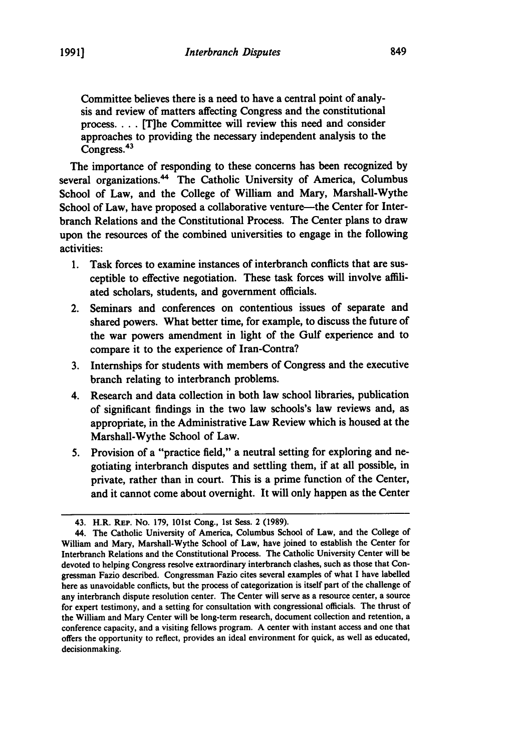Committee believes there is a need to have a central point of analysis and review of matters affecting Congress and the constitutional **process....** [T]he Committee will review this need and consider approaches to providing the necessary independent analysis to the Congress.<sup>43</sup>

The importance of responding to these concerns has been recognized **by** several organizations.<sup>44</sup> The Catholic University of America, Columbus School of Law, and the College of William and Mary, Marshall-Wythe School of Law, have proposed a collaborative venture-the Center for Interbranch Relations and the Constitutional Process. The Center plans to draw upon the resources of the combined universities to engage in the following activities:

- **1.** Task forces to examine instances of interbranch conflicts that are susceptible to effective negotiation. These task forces will involve affiliated scholars, students, and government officials.
- 2. Seminars and conferences on contentious issues of separate and shared powers. What better time, for example, to discuss the future of the war powers amendment in light of the Gulf experience and to compare it to the experience of Iran-Contra?
- **3.** Internships for students with members of Congress and the executive branch relating to interbranch problems.
- 4. Research and data collection in both law school libraries, publication of significant findings in the two law schools's law reviews and, as appropriate, in the Administrative Law Review which is housed at the Marshall-Wythe School of Law.
- **5.** Provision of a "practice field," a neutral setting for exploring and negotiating interbranch disputes and settling them, if at all possible, in private, rather than in court. This is a prime function of the Center, and it cannot come about overnight. It will only happen as the Center

<sup>43.</sup> H.R. **REP.** No. **179,** 101st Cong., **1st** Sess. 2 **(1989).**

<sup>44.</sup> The Catholic University of America, Columbus School of Law, and the College of William and Mary, Marshall-Wythe School of Law, have joined to establish the Center for Interbranch Relations and the Constitutional Process. The Catholic University Center will be devoted to helping Congress resolve extraordinary interbranch clashes, such as those that Congressman Fazio described. Congressman Fazio cites several examples of what **I** have labelled here as unavoidable conflicts, but the process of categorization is itself part of the challenge of any interbranch dispute resolution center. The Center will serve as a resource center, a source for expert testimony, and a setting for consultation with congressional officials. The thrust of the William and Mary Center will be long-term research, document collection and retention, a conference capacity, and a visiting fellows program. **A** center with instant access and one that offers the opportunity to reflect, provides an ideal environment for quick, as well as educated, decisionmaking.